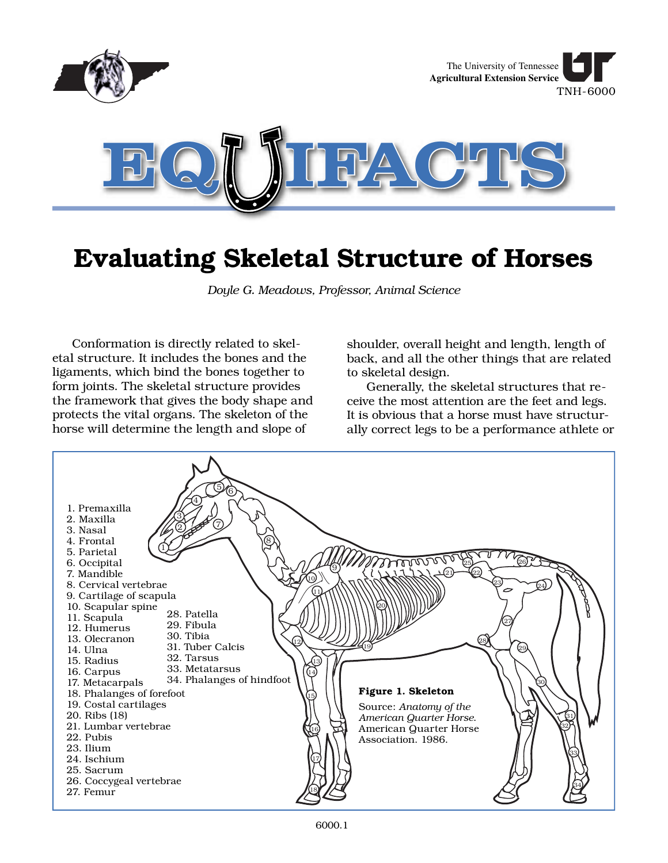

# **Evaluating Skeletal Structure of Horses**

*Doyle G. Meadows, Professor, Animal Science*

Conformation is directly related to skeletal structure. It includes the bones and the ligaments, which bind the bones together to form joints. The skeletal structure provides the framework that gives the body shape and protects the vital organs. The skeleton of the horse will determine the length and slope of

shoulder, overall height and length, length of back, and all the other things that are related to skeletal design.

Generally, the skeletal structures that receive the most attention are the feet and legs. It is obvious that a horse must have structurally correct legs to be a performance athlete or

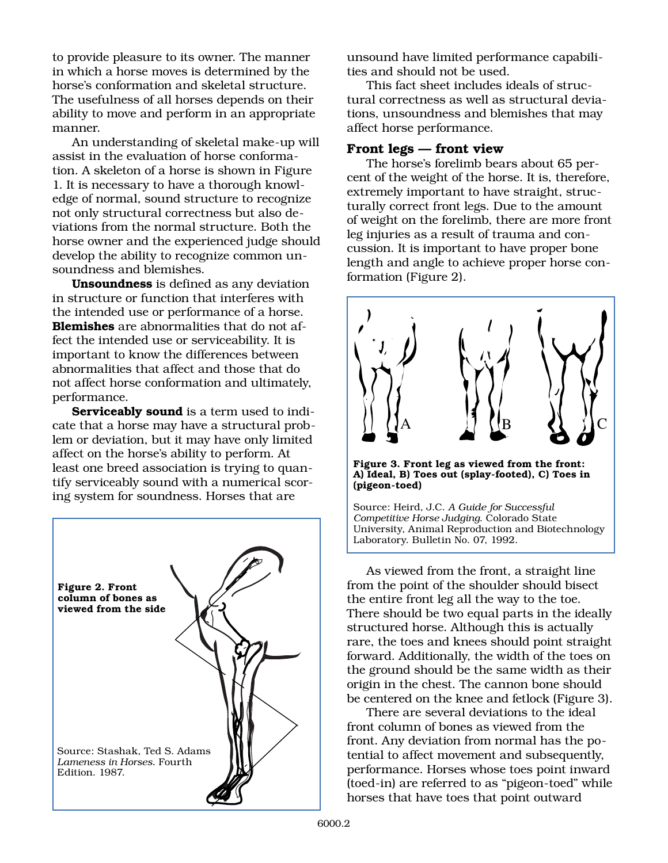to provide pleasure to its owner. The manner in which a horse moves is determined by the horse's conformation and skeletal structure. The usefulness of all horses depends on their ability to move and perform in an appropriate manner.

An understanding of skeletal make-up will assist in the evaluation of horse conformation. A skeleton of a horse is shown in Figure 1. It is necessary to have a thorough knowledge of normal, sound structure to recognize not only structural correctness but also deviations from the normal structure. Both the horse owner and the experienced judge should develop the ability to recognize common unsoundness and blemishes.

**Unsoundness** is defined as any deviation in structure or function that interferes with the intended use or performance of a horse. **Blemishes** are abnormalities that do not affect the intended use or serviceability. It is important to know the differences between abnormalities that affect and those that do not affect horse conformation and ultimately, performance.

**Serviceably sound** is a term used to indicate that a horse may have a structural problem or deviation, but it may have only limited affect on the horse's ability to perform. At least one breed association is trying to quantify serviceably sound with a numerical scoring system for soundness. Horses that are



unsound have limited performance capabilities and should not be used.

This fact sheet includes ideals of structural correctness as well as structural deviations, unsoundness and blemishes that may affect horse performance.

## **Front legs — front view**

The horse's forelimb bears about 65 percent of the weight of the horse. It is, therefore, extremely important to have straight, structurally correct front legs. Due to the amount of weight on the forelimb, there are more front leg injuries as a result of trauma and concussion. It is important to have proper bone length and angle to achieve proper horse conformation (Figure 2).



*Competitive Horse Judging*. Colorado State University, Animal Reproduction and Biotechnology Laboratory. Bulletin No. 07, 1992.

As viewed from the front, a straight line from the point of the shoulder should bisect the entire front leg all the way to the toe. There should be two equal parts in the ideally structured horse. Although this is actually rare, the toes and knees should point straight forward. Additionally, the width of the toes on the ground should be the same width as their origin in the chest. The cannon bone should be centered on the knee and fetlock (Figure 3).

There are several deviations to the ideal front column of bones as viewed from the front. Any deviation from normal has the potential to affect movement and subsequently, performance. Horses whose toes point inward (toed-in) are referred to as "pigeon-toed" while horses that have toes that point outward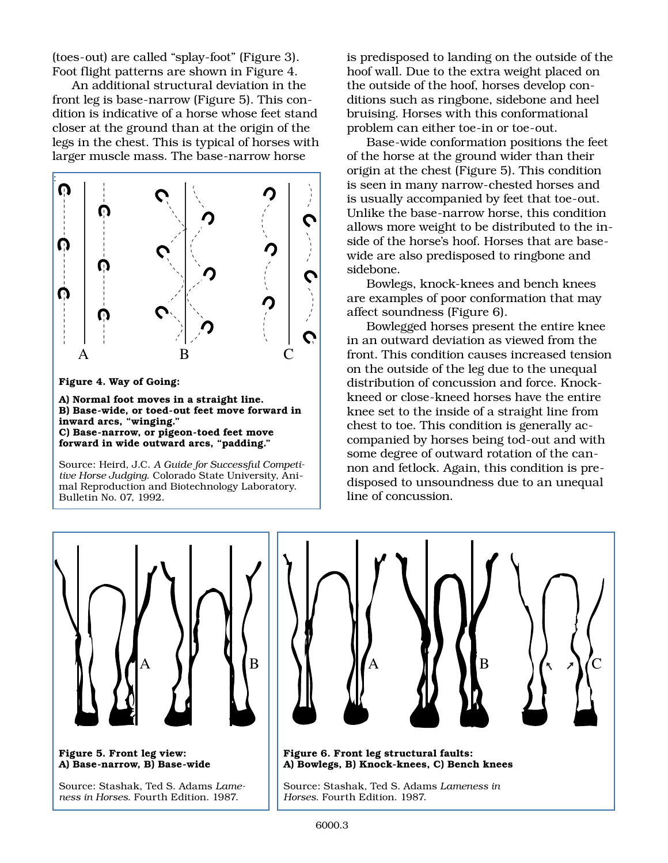(toes-out) are called "splay-foot" (Figure 3). Foot flight patterns are shown in Figure 4.

An additional structural deviation in the front leg is base-narrow (Figure 5). This condition is indicative of a horse whose feet stand closer at the ground than at the origin of the legs in the chest. This is typical of horses with larger muscle mass. The base-narrow horse



**Figure 4. Way of Going:**

**A) Normal foot moves in a straight line. B) Base-wide, or toed-out feet move forward in inward arcs, "winging." C) Base-narrow, or pigeon-toed feet move forward in wide outward arcs, "padding."**

Source: Heird, J.C. *A Guide for Successful Competitive Horse Judging*. Colorado State University, Animal Reproduction and Biotechnology Laboratory. Bulletin No. 07, 1992.

is predisposed to landing on the outside of the hoof wall. Due to the extra weight placed on the outside of the hoof, horses develop conditions such as ringbone, sidebone and heel bruising. Horses with this conformational problem can either toe-in or toe-out.

Base-wide conformation positions the feet of the horse at the ground wider than their origin at the chest (Figure 5). This condition is seen in many narrow-chested horses and is usually accompanied by feet that toe-out. Unlike the base-narrow horse, this condition allows more weight to be distributed to the inside of the horse's hoof. Horses that are basewide are also predisposed to ringbone and sidebone.

Bowlegs, knock-knees and bench knees are examples of poor conformation that may affect soundness (Figure 6).

Bowlegged horses present the entire knee in an outward deviation as viewed from the front. This condition causes increased tension on the outside of the leg due to the unequal distribution of concussion and force. Knockkneed or close-kneed horses have the entire knee set to the inside of a straight line from chest to toe. This condition is generally accompanied by horses being tod-out and with some degree of outward rotation of the cannon and fetlock. Again, this condition is predisposed to unsoundness due to an unequal line of concussion.



**Figure 5. Front leg view: A) Base-narrow, B) Base-wide**

Source: Stashak, Ted S. Adams *Lameness in Horses*. Fourth Edition. 1987.



**Figure 6. Front leg structural faults: A) Bowlegs, B) Knock-knees, C) Bench knees**

Source: Stashak, Ted S. Adams *Lameness in Horses*. Fourth Edition. 1987.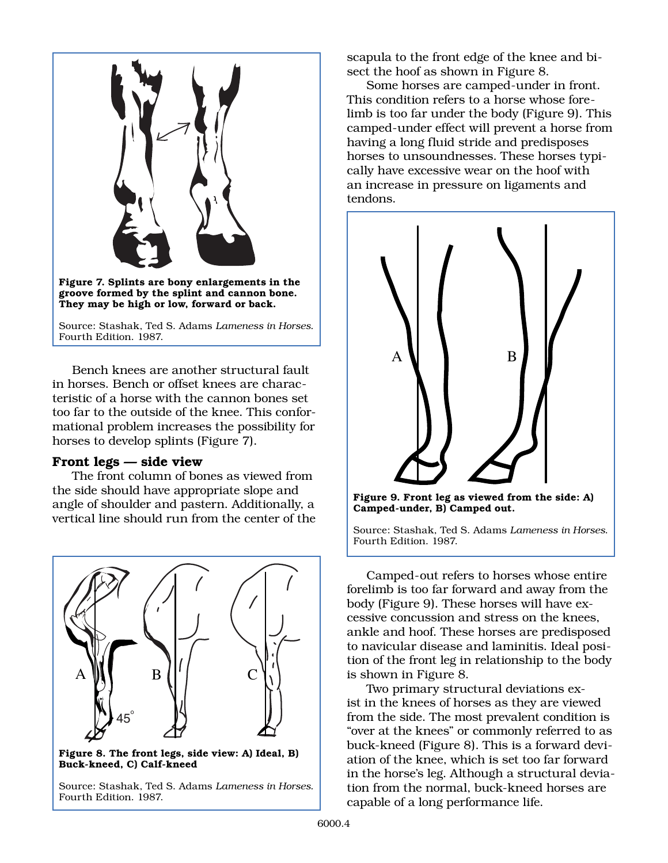

Bench knees are another structural fault in horses. Bench or offset knees are characteristic of a horse with the cannon bones set too far to the outside of the knee. This conformational problem increases the possibility for horses to develop splints (Figure 7).

## **Front legs — side view**

The front column of bones as viewed from the side should have appropriate slope and angle of shoulder and pastern. Additionally, a vertical line should run from the center of the



**Figure 8. The front legs, side view: A) Ideal, B) Buck-kneed, C) Calf-kneed**

Source: Stashak, Ted S. Adams *Lameness in Horses*. Fourth Edition. 1987.

scapula to the front edge of the knee and bisect the hoof as shown in Figure 8.

Some horses are camped-under in front. This condition refers to a horse whose forelimb is too far under the body (Figure 9). This camped-under effect will prevent a horse from having a long fluid stride and predisposes horses to unsoundnesses. These horses typically have excessive wear on the hoof with an increase in pressure on ligaments and tendons.



Source: Stashak, Ted S. Adams *Lameness in Horses*. Fourth Edition. 1987.

Camped-out refers to horses whose entire forelimb is too far forward and away from the body (Figure 9). These horses will have excessive concussion and stress on the knees, ankle and hoof. These horses are predisposed to navicular disease and laminitis. Ideal position of the front leg in relationship to the body is shown in Figure 8.

Two primary structural deviations exist in the knees of horses as they are viewed from the side. The most prevalent condition is "over at the knees" or commonly referred to as buck-kneed (Figure 8). This is a forward deviation of the knee, which is set too far forward in the horse's leg. Although a structural deviation from the normal, buck-kneed horses are capable of a long performance life.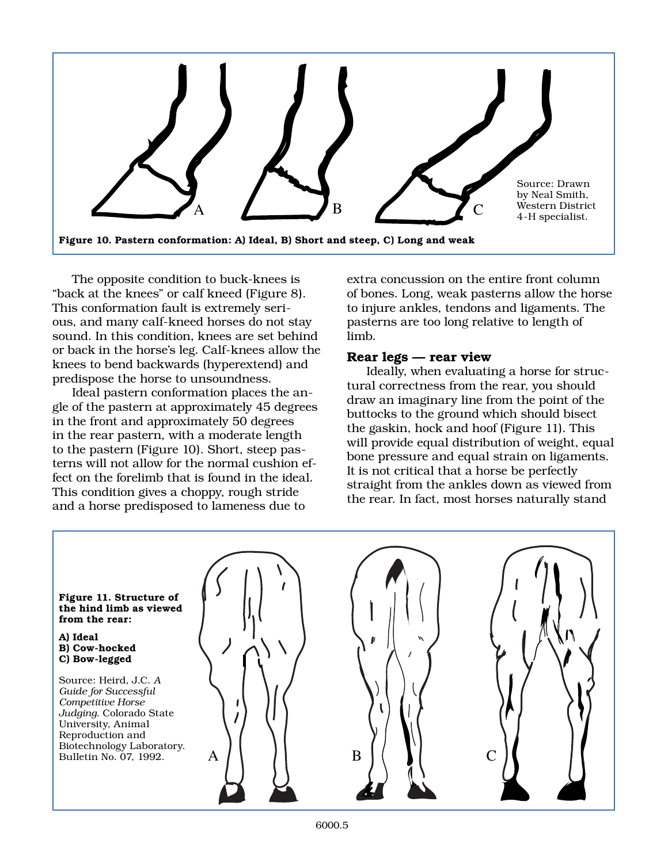

The opposite condition to buck-knees is "back at the knees" or calf kneed (Figure 8). This conformation fault is extremely serious, and many calf-kneed horses do not stay sound. In this condition, knees are set behind or back in the horse's leg. Calf-knees allow the knees to bend backwards (hyperextend) and predispose the horse to unsoundness.

Ideal pastern conformation places the angle of the pastern at approximately 45 degrees in the front and approximately 50 degrees in the rear pastern, with a moderate length to the pastern (Figure 10). Short, steep pasterns will not allow for the normal cushion effect on the forelimb that is found in the ideal. This condition gives a choppy, rough stride and a horse predisposed to lameness due to

extra concussion on the entire front column of bones. Long, weak pasterns allow the horse to injure ankles, tendons and ligaments. The pasterns are too long relative to length of limb.

### **Rear legs — rear view**

Ideally, when evaluating a horse for structural correctness from the rear, you should draw an imaginary line from the point of the buttocks to the ground which should bisect the gaskin, hock and hoof (Figure 11). This will provide equal distribution of weight, equal bone pressure and equal strain on ligaments. It is not critical that a horse be perfectly straight from the ankles down as viewed from the rear. In fact, most horses naturally stand

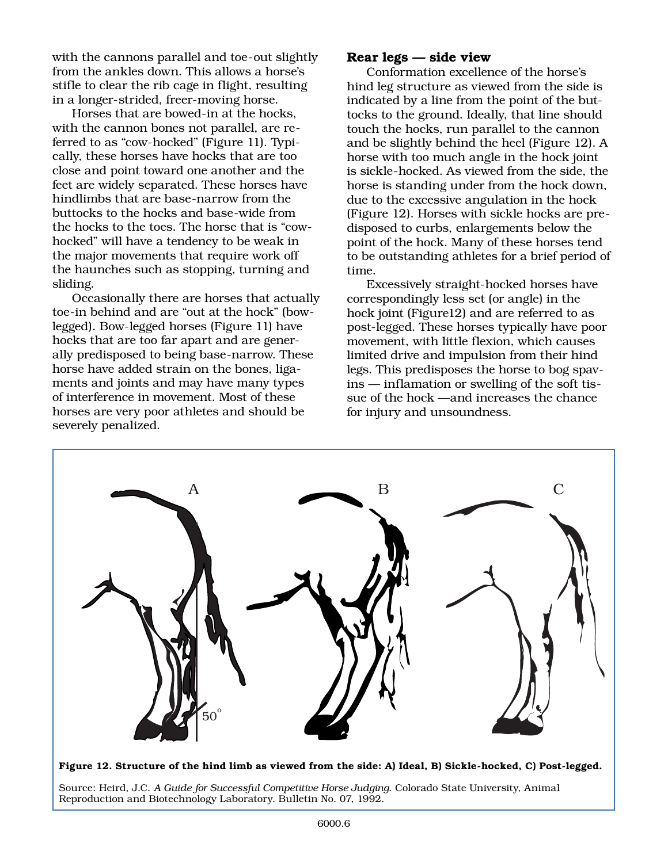with the cannons parallel and toe-out slightly from the ankles down. This allows a horse's stifle to clear the rib cage in flight, resulting in a longer-strided, freer-moving horse.

Horses that are bowed-in at the hocks, with the cannon bones not parallel, are referred to as "cow-hocked" (Figure 11). Typically, these horses have hocks that are too close and point toward one another and the feet are widely separated. These horses have hindlimbs that are base-narrow from the buttocks to the hocks and base-wide from the hocks to the toes. The horse that is "cowhocked" will have a tendency to be weak in the major movements that require work off the haunches such as stopping, turning and sliding.

Occasionally there are horses that actually toe-in behind and are "out at the hock" (bowlegged). Bow-legged horses (Figure 11) have hocks that are too far apart and are generally predisposed to being base-narrow. These horse have added strain on the bones, ligaments and joints and may have many types of interference in movement. Most of these horses are very poor athletes and should be severely penalized.

# **Rear legs — side view**

Conformation excellence of the horse's hind leg structure as viewed from the side is indicated by a line from the point of the buttocks to the ground. Ideally, that line should touch the hocks, run parallel to the cannon and be slightly behind the heel (Figure 12). A horse with too much angle in the hock joint is sickle-hocked. As viewed from the side, the horse is standing under from the hock down, due to the excessive angulation in the hock (Figure 12). Horses with sickle hocks are predisposed to curbs, enlargements below the point of the hock. Many of these horses tend to be outstanding athletes for a brief period of time.

Excessively straight-hocked horses have correspondingly less set (or angle) in the hock joint (Figure12) and are referred to as post-legged. These horses typically have poor movement, with little flexion, which causes limited drive and impulsion from their hind legs. This predisposes the horse to bog spavins — inflamation or swelling of the soft tissue of the hock —and increases the chance for injury and unsoundness.



**Figure 12. Structure of the hind limb as viewed from the side: A) Ideal, B) Sickle-hocked, C) Post-legged.**

Source: Heird, J.C. *A Guide for Successful Competitive Horse Judging*. Colorado State University, Animal Reproduction and Biotechnology Laboratory. Bulletin No. 07, 1992.